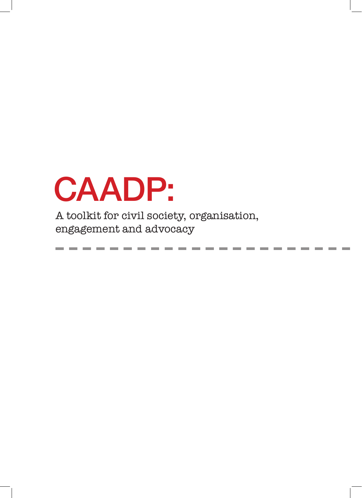# $\wedge$  more than  $\wedge$  million  $\wedge$  africans remain food insecure. Governments in Africa spend less than  $7$  $\mathbf{r}$  is a griculture despite that  $\mathbf{r}$  $\blacksquare$ farmers smallers remains remain particularly understand understand under supported. In the support of  $\blacksquare$ CAADP:

cultural productivity and growth, and aims to transform policy and practice, as to improve, coordination, A toolkit for civil society, organisation,  $\alpha$  or  $\beta$  organisations, CA  $\alpha$  organisations, CA  $\alpha$ engagement and advocacy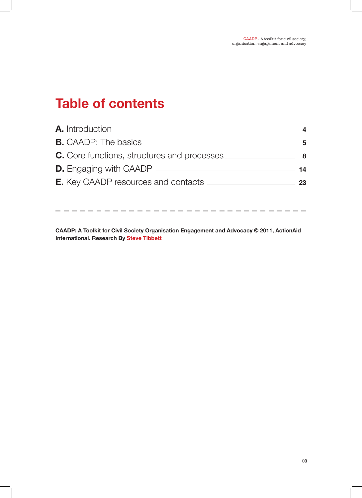# **Table of contents**

| 5  |
|----|
| 8  |
| 14 |
| 23 |
|    |

**CAADP: A Toolkit for Civil Society Organisation Engagement and Advocacy © 2011, ActionAid International. Research By Steve Tibbett**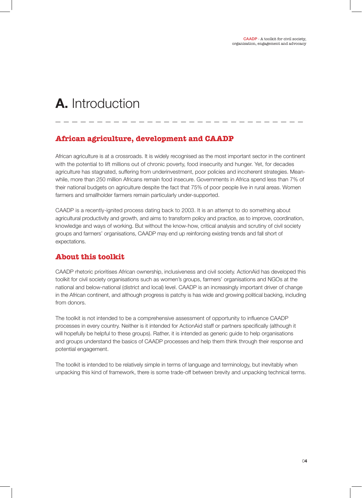# **A.** Introduction

# **African agriculture, development and CAADP**

African agriculture is at a crossroads. It is widely recognised as the most important sector in the continent with the potential to lift millions out of chronic poverty, food insecurity and hunger. Yet, for decades agriculture has stagnated, suffering from underinvestment, poor policies and incoherent strategies. Meanwhile, more than 250 million Africans remain food insecure. Governments in Africa spend less than 7% of their national budgets on agriculture despite the fact that 75% of poor people live in rural areas. Women farmers and smallholder farmers remain particularly under-supported.

CAADP is a recently-ignited process dating back to 2003. It is an attempt to do something about agricultural productivity and growth, and aims to transform policy and practice, as to improve, coordination, knowledge and ways of working. But without the know-how, critical analysis and scrutiny of civil society groups and farmers' organisations, CAADP may end up reinforcing existing trends and fall short of expectations.

# **About this toolkit**

CAADP rhetoric prioritises African ownership, inclusiveness and civil society. ActionAid has developed this toolkit for civil society organisations such as women's groups, farmers' organisations and NGOs at the national and below-national (district and local) level. CAADP is an increasingly important driver of change in the African continent, and although progress is patchy is has wide and growing political backing, including from donors.

The toolkit is not intended to be a comprehensive assessment of opportunity to influence CAADP processes in every country. Neither is it intended for ActionAid staff or partners specifically (although it will hopefully be helpful to these groups). Rather, it is intended as generic guide to help organisations and groups understand the basics of CAADP processes and help them think through their response and potential engagement.

The toolkit is intended to be relatively simple in terms of language and terminology, but inevitably when unpacking this kind of framework, there is some trade-off between brevity and unpacking technical terms.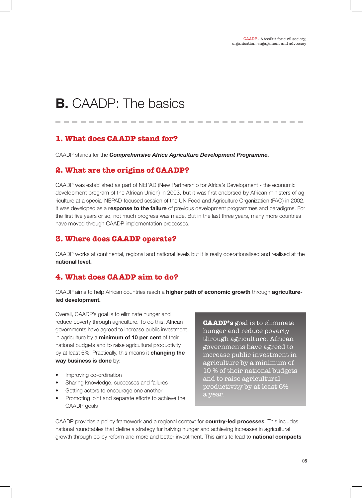CAADP - A toolkit for civil society organisation, engagement and advocacy

# **B.** CAADP: The basics

# **1. What does CAADP stand for?**

CAADP stands for the *Comprehensive Africa Agriculture Development Programme.*

## **2. What are the origins of CAADP?**

CAADP was established as part of NEPAD (New Partnership for Africa's Development - the economic development program of the African Union) in 2003, but it was first endorsed by African ministers of agriculture at a special NEPAD-focused session of the UN Food and Agriculture Organization (FAO) in 2002. It was developed as a **response to the failure** of previous development programmes and paradigms. For the first five years or so, not much progress was made. But in the last three years, many more countries have moved through CAADP implementation processes.

## **3. Where does CAADP operate?**

CAADP works at continental, regional and national levels but it is really operationalised and realised at the **national level.**

# **4. What does CAADP aim to do?**

CAADP aims to help African countries reach a **higher path of economic growth** through **agricultureled development.**

Overall, CAADP's goal is to eliminate hunger and reduce poverty through agriculture. To do this, African governments have agreed to increase public investment in agriculture by a **minimum of 10 per cent** of their national budgets and to raise agricultural productivity by at least 6%. Practically, this means it **changing the way business is done** by:

- Improving co-ordination
- Sharing knowledge, successes and failures
- Getting actors to encourage one another
- Promoting joint and separate efforts to achieve the CAADP goals

**CAADP's** goal is to eliminate hunger and reduce poverty through agriculture. African governments have agreed to increase public investment in agriculture by a minimum of 10 % of their national budgets and to raise agricultural productivity by at least 6% a year.

CAADP provides a policy framework and a regional context for **country-led processes**. This includes national roundtables that define a strategy for halving hunger and achieving increases in agricultural growth through policy reform and more and better investment. This aims to lead to **national compacts**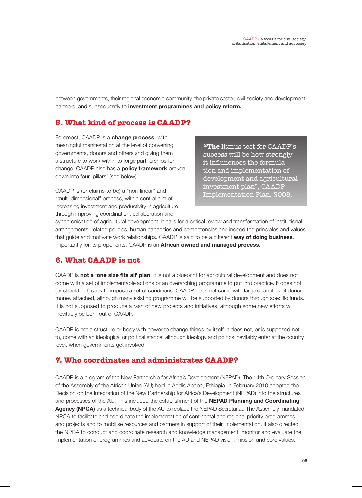between governments, their regional economic community, the private sector, civil society and development partners, and subsequently to **investment programmes and policy reform.**

# **5. What kind of process is CAADP?**

Foremost, CAADP is a **change process**, with meaningful manifestation at the level of convening governments, donors and others and giving them a structure to work within to forge partnerships for change. CAADP also has a **policy framework** broken down into four 'pillars' (see below).

CAADP is (or claims to be) a "non-linear" and "multi-dimensional" process, with a central aim of increasing investment and productivity in agriculture through improving coordination, collaboration and

**"The** litmus test for CAADP's success will be how strongly it influnences the formulation and implementation of development and agricultural investment plan", CAADP Implementation Plan, 2008.

synchronisation of agricultural development. It calls for a critical review and transformation of institutional arrangements, related policies, human capacities and competencies and indeed the principles and values that guide and motivate work relationships. CAADP is said to be a different **way of doing business**. Importantly for its proponents, CAADP is an **African owned and managed process.**

# **6. What CAADP is not**

CAADP is **not a 'one size fits all' plan**. It is not a blueprint for agricultural development and does not come with a set of implementable actions or an overarching programme to put into practice. It does not (or should not) seek to impose a set of conditions. CAADP does not come with large quantities of donor money attached, although many existing programme will be supported by donors through specific funds. It is not supposed to produce a rash of new projects and initiatives, although some new efforts will inevitably be born out of CAADP.

CAADP is not a structure or body with power to change things by itself. It does not, or is supposed not to, come with an ideological or political stance, although ideology and politics inevitably enter at the country level, when governments get involved.

# **7. Who coordinates and administrates CAADP?**

CAADP is a program of the New Partnership for Africa's Development (NEPAD). The 14th Ordinary Session of the Assembly of the African Union (AU) held in Addis Ababa, Ethiopia, in February 2010 adopted the Decision on the Integration of the New Partnership for Africa's Development (NEPAD) into the structures and processes of the AU. This included the establishment of the **NEPAD Planning and Coordinating Agency (NPCA)** as a technical body of the AU to replace the NEPAD Secretariat. The Assembly mandated NPCA to facilitate and coordinate the implementation of continental and regional priority programmes and projects and to mobilise resources and partners in support of their implementation. It also directed the NPCA to conduct and coordinate research and knowledge management, monitor and evaluate the implementation of programmes and advocate on the AU and NEPAD vision, mission and core values.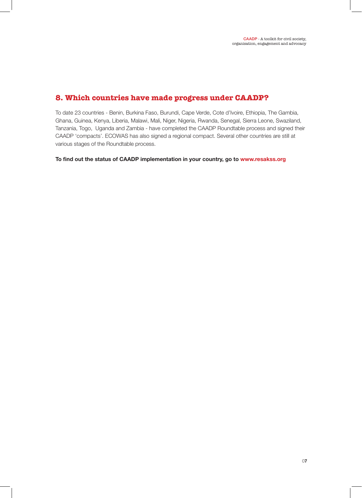# **8. Which countries have made progress under CAADP?**

To date 23 countries - Benin, Burkina Faso, Burundi, Cape Verde, Cote d'Ivoire, Ethiopia, The Gambia, Ghana, Guinea, Kenya, Liberia, Malawi, Mali, Niger, Nigeria, Rwanda, Senegal, Sierra Leone, Swaziland, Tanzania, Togo, Uganda and Zambia - have completed the CAADP Roundtable process and signed their CAADP 'compacts'. ECOWAS has also signed a regional compact. Several other countries are still at various stages of the Roundtable process.

**To find out the status of CAADP implementation in your country, go to www.resakss.org**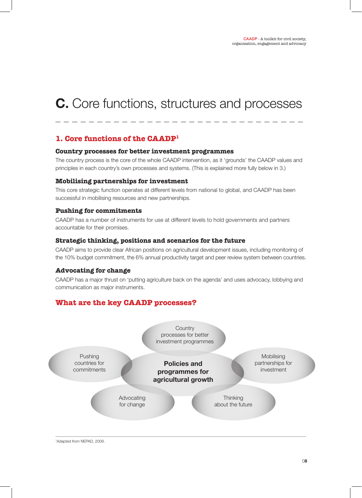# **C.** Core functions, structures and processes

# **1. Core functions of the CAADP1**

#### **Country processes for better investment programmes**

The country process is the core of the whole CAADP intervention, as it 'grounds' the CAADP values and principles in each country's own processes and systems. (This is explained more fully below in 3.)

#### **Mobilising partnerships for investment**

This core strategic function operates at different levels from national to global, and CAADP has been successful in mobilising resources and new partnerships.

#### **Pushing for commitments**

CAADP has a number of instruments for use at different levels to hold governments and partners accountable for their promises.

#### **Strategic thinking, positions and scenarios for the future**

CAADP aims to provide clear African positions on agricultural development issues, including monitoring of the 10% budget commitment, the 6% annual productivity target and peer review system between countries.

#### **Advocating for change**

CAADP has a major thrust on 'putting agriculture back on the agenda' and uses advocacy, lobbying and communication as major instruments.

# **What are the key CAADP processes?**



1 Adapted from NEPAD, 2009.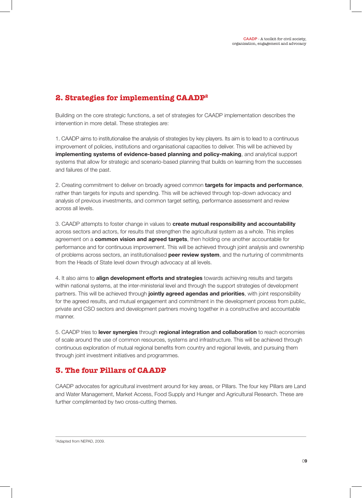# **2. Strategies for implementing CAADP2**

Building on the core strategic functions, a set of strategies for CAADP implementation describes the intervention in more detail. These strategies are:

1. CAADP aims to institutionalise the analysis of strategies by key players. Its aim is to lead to a continuous improvement of policies, institutions and organisational capacities to deliver. This will be achieved by **implementing systems of evidence-based planning and policy-making**, and analytical support systems that allow for strategic and scenario-based planning that builds on learning from the successes and failures of the past.

2. Creating commitment to deliver on broadly agreed common **targets for impacts and performance**, rather than targets for inputs and spending. This will be achieved through top-down advocacy and analysis of previous investments, and common target setting, performance assessment and review across all levels.

3. CAADP attempts to foster change in values to **create mutual responsibility and accountability** across sectors and actors, for results that strengthen the agricultural system as a whole. This implies agreement on a **common vision and agreed targets**, then holding one another accountable for performance and for continuous improvement. This will be achieved through joint analysis and ownership of problems across sectors, an institutionalised **peer review system**, and the nurturing of commitments from the Heads of State level down through advocacy at all levels.

4. It also aims to **align development efforts and strategies** towards achieving results and targets within national systems, at the inter-ministerial level and through the support strategies of development partners. This will be achieved through **jointly agreed agendas and priorities**, with joint responsibility for the agreed results, and mutual engagement and commitment in the development process from public, private and CSO sectors and development partners moving together in a constructive and accountable manner.

5. CAADP tries to **lever synergies** through **regional integration and collaboration** to reach economies of scale around the use of common resources, systems and infrastructure. This will be achieved through continuous exploration of mutual regional benefits from country and regional levels, and pursuing them through joint investment initiatives and programmes.

# **3. The four Pillars of CAADP**

CAADP advocates for agricultural investment around for key areas, or Pillars. The four key Pillars are Land and Water Management, Market Access, Food Supply and Hunger and Agricultural Research. These are further complimented by two cross-cutting themes.

2 Adapted from NEPAD, 2009.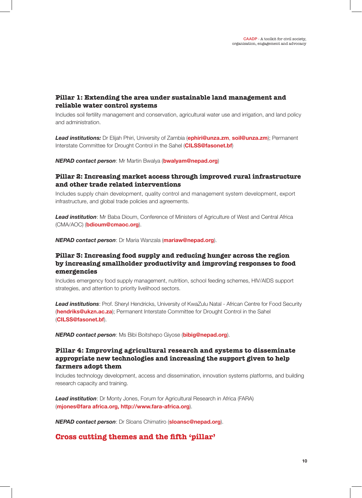## **Pillar 1: Extending the area under sustainable land management and reliable water control systems**

Includes soil fertility management and conservation, agricultural water use and irrigation, and land policy and administration.

*Lead institutions:* Dr Elijah Phiri, University of Zambia (**ephiri@unza.zm**, **soil@unza.zm**); Permanent Interstate Committee for Drought Control in the Sahel (**CILSS@fasonet.bf**)

*NEPAD contact person*: Mr Martin Bwalya (**bwalyam@nepad.org**)

## **Pillar 2: Increasing market access through improved rural infrastructure and other trade related interventions**

Includes supply chain development, quality control and management system development, export infrastructure, and global trade policies and agreements.

**Lead institution:** Mr Baba Dioum, Conference of Ministers of Agriculture of West and Central Africa (CMA/AOC) (**bdioum@cmaoc.org**).

*NEPAD contact person*: Dr Maria Wanzala (**mariaw@nepad.org**).

## **Pillar 3: Increasing food supply and reducing hunger across the region by increasing smallholder productivity and improving responses to food emergencies**

Includes emergency food supply management, nutrition, school feeding schemes, HIV/AIDS support strategies, and attention to priority livelihood sectors.

*Lead institutions*: Prof. Sheryl Hendricks, University of KwaZulu Natal - African Centre for Food Security (**hendriks@ukzn.ac.za**); Permanent Interstate Committee for Drought Control in the Sahel (**CILSS@fasonet.bf**).

*NEPAD contact person*: Ms Bibi Boitshepo Giyose (**bibig@nepad.org**).

## **Pillar 4: Improving agricultural research and systems to disseminate appropriate new technologies and increasing the support given to help farmers adopt them**

Includes technology development, access and dissemination, innovation systems platforms, and building research capacity and training.

*Lead institution*: Dr Monty Jones, Forum for Agricultural Research in Africa (FARA) (**mjones@fara africa.org, http://www.fara-africa.org**).

*NEPAD contact person*: Dr Sloans Chimatiro (**sloansc@nepad.org**).

## **Cross cutting themes and the fifth 'pillar'**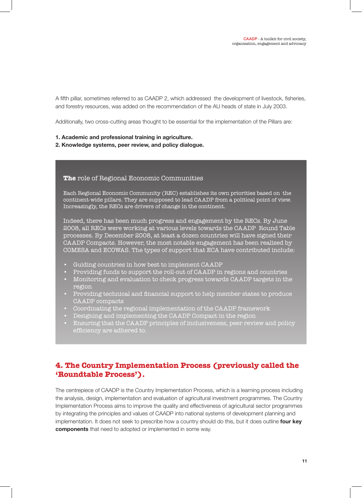A fifth pillar, sometimes referred to as CAADP 2, which addressed the development of livestock, fisheries, and forestry resources, was added on the recommendation of the AU heads of state in July 2003.

Additionally, two cross-cutting areas thought to be essential for the implementation of the Pillars are:

- **1. Academic and professional training in agriculture.**
- **2. Knowledge systems, peer review, and policy dialogue.**

#### **The** role of Regional Economic Communities

Each Regional Economic Community (REC) establishes its own priorities based on the continent-wide pillars. They are supposed to lead CAADP from a political point of view. Increasingly, the RECs are drivers of change in the continent.

Indeed, there has been much progress and engagement by the RECs. By June 2008, all RECs were working at various levels towards the CAADP Round Table processes. By December 2008, at least a dozen countries will have signed their CAADP Compacts. However, the most notable engagement has been realised by COMESA and ECOWAS. The types of support that ECA have contributed include:

- Guiding countries in how best to implement CAADP
- Providing funds to support the roll-out of CAADP in regions and countries
- Monitoring and evaluation to check progress towards CAADP targets in the region
- Providing technical and financial support to help member states to produce CAADP compacts
- Coordinating the regional implementation of the CAADP framework
- Designing and implementing the CAADP Compact in the region
- Ensuring that the CAADP principles of inclusiveness, peer review and policy efficiency are adhered to.

# **4. The Country Implementation Process (previously called the 'Roundtable Process').**

The centrepiece of CAADP is the Country Implementation Process, which is a learning process including the analysis, design, implementation and evaluation of agricultural investment programmes. The Country Implementation Process aims to improve the quality and effectiveness of agricultural sector programmes by integrating the principles and values of CAADP into national systems of development planning and implementation. It does not seek to prescribe how a country should do this, but it does outline **four key components** that need to adopted or implemented in some way.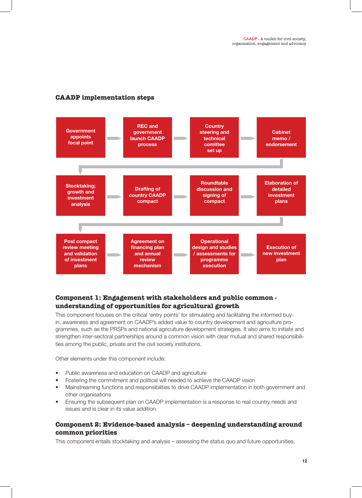# **CAADP implementation steps**



# **Component 1: Engagement with stakeholders and public common understanding of opportunities for agricultural growth**

This component focuses on the critical 'entry points' for stimulating and facilitating the informed buyin, awareness and agreement on CAADP's added value to country development and agriculture programmes, such as the PRSPs and national agriculture development strategies. It also aims to initiate and strengthen inter-sectoral partnerships around a common vision with clear mutual and shared responsibilities among the public, private and the civil society institutions.

Other elements under this component include:

- Public awareness and education on CAADP and agriculture
- Fostering the commitment and political will needed to achieve the CAADP vision
- Mainstreaming functions and responsibilities to drive CAADP implementation in both government and other organisations
- Ensuring the subsequent plan on CAADP implementation is a response to real country needs and issues and is clear in its value addition.

## **Component 2: Evidence-based analysis – deepening understanding around common priorities**

This component entails stocktaking and analysis – assessing the status quo and future opportunities,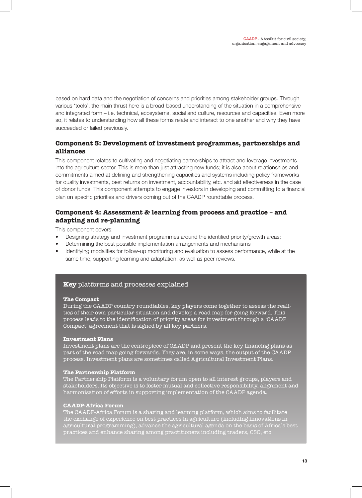based on hard data and the negotiation of concerns and priorities among stakeholder groups. Through various 'tools', the main thrust here is a broad-based understanding of the situation in a comprehensive and integrated form – i.e. technical, ecosystems, social and culture, resources and capacities. Even more so, it relates to understanding how all these forms relate and interact to one another and why they have succeeded or failed previously.

## **Component 3: Development of investment programmes, partnerships and alliances**

This component relates to cultivating and negotiating partnerships to attract and leverage investments into the agriculture sector. This is more than just attracting new funds; it is also about relationships and commitments aimed at defining and strengthening capacities and systems including policy frameworks for quality investments, best returns on investment, accountability, etc. and aid effectiveness in the case of donor funds. This component attempts to engage investors in developing and committing to a financial plan on specific priorities and drivers coming out of the CAADP roundtable process.

# **Component 4: Assessment & learning from process and practice – and adapting and re-planning**

This component covers:

- Designing strategy and investment programmes around the identified priority/growth areas;
- Determining the best possible implementation arrangements and mechanisms
- Identifying modalities for follow-up monitoring and evaluation to assess performance, while at the same time, supporting learning and adaptation, as well as peer reviews.

## **Key** platforms and processes explained

#### **The Compact**

During the CAADP country roundtables, key players come together to assess the realities of their own particular situation and develop a road map for going forward. This process leads to the identification of priority areas for investment through a 'CAADP Compact' agreement that is signed by all key partners.

#### **Investment Plans**

Investment plans are the centrepiece of CAADP and present the key financing plans as part of the road map going forwards. They are, in some ways, the output of the CAADP process. Investment plans are sometimes called Agricultural Investment Plans.

#### **The Partnership Platform**

The Partnership Platform is a voluntary forum open to all interest groups, players and stakeholders. Its objective is to foster mutual and collective responsibility, alignment and harmonisation of efforts in supporting implementation of the CAADP agenda.

## **CAADP-Africa Forum**

The CAADP-Africa Forum is a sharing and learning platform, which aims to facilitate the exchange of experience on best practices in agriculture (including innovations in agricultural programming), advance the agricultural agenda on the basis of Africa's best practices and enhance sharing among practitioners including traders, CSO, etc.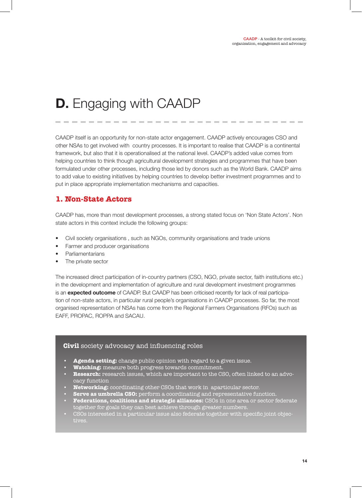# **D.** Engaging with CAADP

CAADP itself is an opportunity for non-state actor engagement. CAADP actively encourages CSO and other NSAs to get involved with country processes. It is important to realise that CAADP is a continental framework, but also that it is operationalised at the national level. CAADP's added value comes from helping countries to think though agricultural development strategies and programmes that have been formulated under other processes, including those led by donors such as the World Bank. CAADP aims to add value to existing initiatives by helping countries to develop better investment programmes and to put in place appropriate implementation mechanisms and capacities.

# **1. Non-State Actors**

CAADP has, more than most development processes, a strong stated focus on 'Non State Actors'. Non state actors in this context include the following groups:

- Civil society organisations , such as NGOs, community organisations and trade unions
- Farmer and producer organisations
- **Parliamentarians**
- The private sector

The increased direct participation of in-country partners (CSO, NGO, private sector, faith institutions etc.) in the development and implementation of agriculture and rural development investment programmes is an **expected outcome** of CAADP. But CAADP has been criticised recently for lack of real participation of non-state actors, in particular rural people's organisations in CAADP processes. So far, the most organised representation of NSAs has come from the Regional Farmers Organisations (RFOs) such as EAFF, PROPAC, ROPPA and SACAU.

#### **Civil** society advocacy and influencing roles

- **• Agenda setting:** change public opinion with regard to a given issue.
- **• Watching:** measure both progress towards commitment.
- **• Research:** research issues, which are important to the CSO, often linked to an advocacy function
- **• Networking:** coordinating other CSOs that work in aparticular sector.
- **• Serve as umbrella CSO:** perform a coordinating and representative function.
- **• Federations, coalitions and strategic alliances:** CSOs in one area or sector federate together for goals they can best achieve through greater numbers.
- CSOs interested in a particular issue also federate together with specific joint objectives.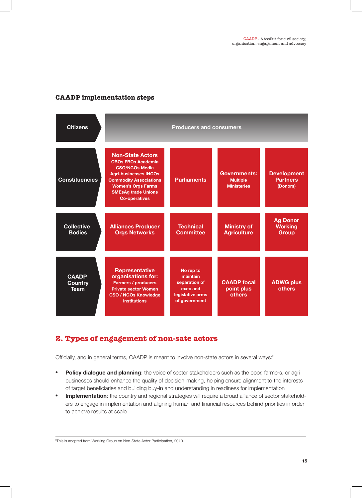## **CAADP implementation steps**



# **2. Types of engagement of non-sate actors**

Officially, and in general terms, CAADP is meant to involve non-state actors in several ways:<sup>3</sup>

- **Policy dialogue and planning**: the voice of sector stakeholders such as the poor, farmers, or agribusinesses should enhance the quality of decision-making, helping ensure alignment to the interests of target beneficiaries and building buy-in and understanding in readiness for implementation
- **Implementation**: the country and regional strategies will require a broad alliance of sector stakeholders to engage in implementation and aligning human and financial resources behind priorities in order to achieve results at scale

<sup>3</sup>This is adapted from Working Group on Non-State Actor Participation, 2010.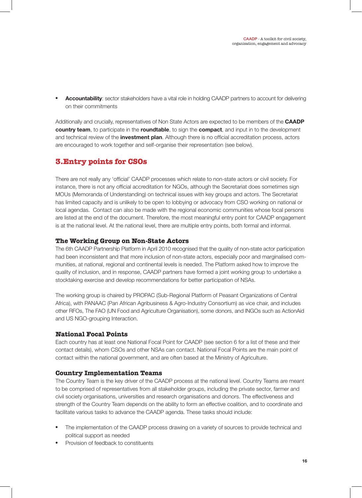**Accountability**: sector stakeholders have a vital role in holding CAADP partners to account for delivering on their commitments

Additionally and crucially, representatives of Non State Actors are expected to be members of the **CAADP country team**, to participate in the **roundtable**, to sign the **compact**, and input in to the development and technical review of the **investment plan**. Although there is no official accreditation process, actors are encouraged to work together and self-organise their representation (see below).

# **3.Entry points for CSOs**

There are not really any 'official' CAADP processes which relate to non-state actors or civil society. For instance, there is not any official accreditation for NGOs, although the Secretariat does sometimes sign MOUs (Memoranda of Understanding) on technical issues with key groups and actors. The Secretariat has limited capacity and is unlikely to be open to lobbying or advocacy from CSO working on national or local agendas. Contact can also be made with the regional economic communities whose focal persons are listed at the end of the document. Therefore, the most meaningful entry point for CAADP engagement is at the national level. At the national level, there are multiple entry points, both formal and informal.

## **The Working Group on Non-State Actors**

The 6th CAADP Partnership Platform in April 2010 recognised that the quality of non-state actor participation had been inconsistent and that more inclusion of non-state actors, especially poor and marginalised communities, at national, regional and continental levels is needed. The Platform asked how to improve the quality of inclusion, and in response, CAADP partners have formed a joint working group to undertake a stocktaking exercise and develop recommendations for better participation of NSAs.

The working group is chaired by PROPAC (Sub-Regional Platform of Peasant Organizations of Central Africa), with PANAAC (Pan African Agribusiness & Agro-Industry Consortium) as vice chair, and includes other RFOs, The FAO (UN Food and Agriculture Organisation), some donors, and INGOs such as ActionAid and US NGO-grouping Interaction.

## **National Focal Points**

Each country has at least one National Focal Point for CAADP (see section 6 for a list of these and their contact details), whom CSOs and other NSAs can contact. National Focal Points are the main point of contact within the national government, and are often based at the Ministry of Agriculture.

## **Country Implementation Teams**

The Country Team is the key driver of the CAADP process at the national level. Country Teams are meant to be comprised of representatives from all stakeholder groups, including the private sector, farmer and civil society organisations, universities and research organisations and donors. The effectiveness and strength of the Country Team depends on the ability to form an effective coalition, and to coordinate and facilitate various tasks to advance the CAADP agenda. These tasks should include:

- The implementation of the CAADP process drawing on a variety of sources to provide technical and political support as needed
- Provision of feedback to constituents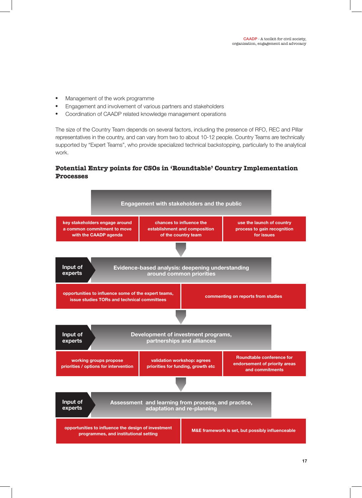- Management of the work programme
- Engagement and involvement of various partners and stakeholders
- • Coordination of CAADP related knowledge management operations

The size of the Country Team depends on several factors, including the presence of RFO, REC and Pillar representatives in the country, and can vary from two to about 10-12 people. Country Teams are technically supported by "Expert Teams", who provide specialized technical backstopping, particularly to the analytical work.

# **Potential Entry points for CSOs in 'Roundtable' Country Implementation Processes**

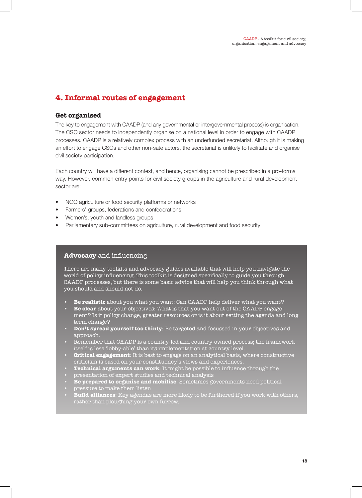# **4. Informal routes of engagement**

### **Get organised**

The key to engagement with CAADP (and any governmental or intergovernmental process) is organisation. The CSO sector needs to independently organise on a national level in order to engage with CAADP processes. CAADP is a relatively complex process with an underfunded secretariat. Although it is making an effort to engage CSOs and other non-sate actors, the secretariat is unlikely to facilitate and organise civil society participation.

Each country will have a different context, and hence, organising cannot be prescribed in a pro-forma way. However, common entry points for civil society groups in the agriculture and rural development sector are:

- NGO agriculture or food security platforms or networks
- Farmers' groups, federations and confederations
- Women's, youth and landless groups
- Parliamentary sub-committees on agriculture, rural development and food security

## **Advocacy** and influencing

There are many toolkits and advocacy guides available that will help you navigate the world of policy influencing. This toolkit is designed specifically to guide you through CAADP processes, but there is some basic advice that will help you think through what you should and should not do.

- **• Be realistic** about you what you want: Can CAADP help deliver what you want?
- **• Be clear** about your objectives: What is that you want out of the CAADP engagement? Is it policy change, greater resources or is it about setting the agenda and long term change?
- **• Don't spread yourself too thinly**: Be targeted and focussed in your objectives and approach.
- Remember that CAADP is a country-led and country-owned process; the framework itself is less 'lobby-able' than its implementation at country level.
- **• Critical engagement**: It is best to engage on an analytical basis, where constructive criticism is based on your constituency's views and experiences.
- **• Technical arguments can work**: It might be possible to influence through the
- presentation of expert studies and technical analysis
- **• Be prepared to organise and mobilise**: Sometimes governments need political
- pressure to make them listen
- **• Build alliances**: Key agendas are more likely to be furthered if you work with others, rather than ploughing your own furrow.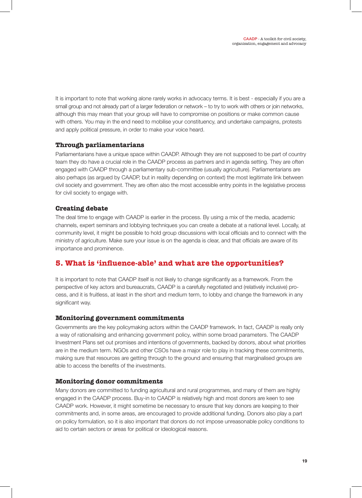It is important to note that working alone rarely works in advocacy terms. It is best - especially if you are a small group and not already part of a larger federation or network – to try to work with others or join networks, although this may mean that your group will have to compromise on positions or make common cause with others. You may in the end need to mobilise your constituency, and undertake campaigns, protests and apply political pressure, in order to make your voice heard.

## **Through parliamentarians**

Parliamentarians have a unique space within CAADP. Although they are not supposed to be part of country team they do have a crucial role in the CAADP process as partners and in agenda setting. They are often engaged with CAADP through a parliamentary sub-committee (usually agriculture). Parliamentarians are also perhaps (as argued by CAADP, but in reality depending on context) the most legitimate link between civil society and government. They are often also the most accessible entry points in the legislative process for civil society to engage with.

## **Creating debate**

The deal time to engage with CAADP is earlier in the process. By using a mix of the media, academic channels, expert seminars and lobbying techniques you can create a debate at a national level. Locally, at community level, it might be possible to hold group discussions with local officials and to connect with the ministry of agriculture. Make sure your issue is on the agenda is clear, and that officials are aware of its importance and prominence.

# **5. What is 'influence-able' and what are the opportunities?**

It is important to note that CAADP itself is not likely to change significantly as a framework. From the perspective of key actors and bureaucrats, CAADP is a carefully negotiated and (relatively inclusive) process, and it is fruitless, at least in the short and medium term, to lobby and change the framework in any significant way.

## **Monitoring government commitments**

Governments are the key policymaking actors within the CAADP framework. In fact, CAADP is really only a way of rationalising and enhancing government policy, within some broad parameters. The CAADP Investment Plans set out promises and intentions of governments, backed by donors, about what priorities are in the medium term. NGOs and other CSOs have a major role to play in tracking these commitments, making sure that resources are getting through to the ground and ensuring that marginalised groups are able to access the benefits of the investments.

#### **Monitoring donor commitments**

Many donors are committed to funding agricultural and rural programmes, and many of them are highly engaged in the CAADP process. Buy-in to CAADP is relatively high and most donors are keen to see CAADP work. However, it might sometime be necessary to ensure that key donors are keeping to their commitments and, in some areas, are encouraged to provide additional funding. Donors also play a part on policy formulation, so it is also important that donors do not impose unreasonable policy conditions to aid to certain sectors or areas for political or ideological reasons.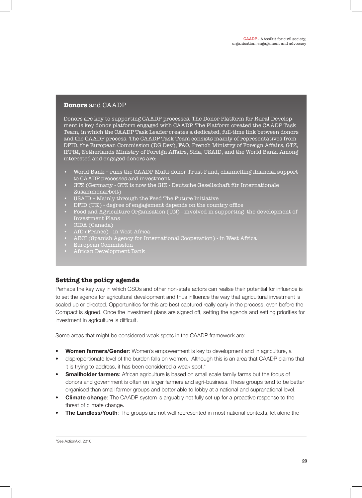### **Donors** and CAADP

Donors are key to supporting CAADP processes. The Donor Platform for Rural Development is key donor platform engaged with CAADP. The Platform created the CAADP Task Team, in which the CAADP Task Leader creates a dedicated, full-time link between donors and the CAADP process. The CAADP Task Team consists mainly of representatives from DFID, the European Commission (DG Dev), FAO, French Ministry of Foreign Affairs, GTZ, IFPRI, Netherlands Ministry of Foreign Affairs, Sida, USAID, and the World Bank. Among interested and engaged donors are:

- World Bank runs the CAADP Multi-donor Trust Fund, channelling financial support to CAADP processes and investment
- GTZ (Germany GTZ is now the GIZ Deutsche Gesellschaft für Internationale Zusammenarbeit)
- USAID Mainly through the Feed The Future Initiative
- DFID (UK) degree of engagement depends on the country office
- Food and Agriculture Organisation (UN) involved in supporting the development of Investment Plans
- CIDA (Canada)
- AfD (France) in West Africa
- AECI (Spanish Agency for International Cooperation) in West Africa
- European Commission
- African Development Bank

## **Setting the policy agenda**

Perhaps the key way in which CSOs and other non-state actors can realise their potential for influence is to set the agenda for agricultural development and thus influence the way that agricultural investment is scaled up or directed. Opportunities for this are best captured really early in the process, even before the Compact is signed. Once the investment plans are signed off, setting the agenda and setting priorities for investment in agriculture is difficult.

Some areas that might be considered weak spots in the CAADP framework are:

- **•• Women farmers/Gender:** Women's empowerment is key to development and in agriculture, a
- disproportionate level of the burden falls on women. Although this is an area that CAADP claims that it is trying to address, it has been considered a weak spot.4
- **• Smallholder farmers**: African agriculture is based on small scale family farms but the focus of donors and government is often on larger farmers and agri-business. These groups tend to be better organised than small farmer groups and better able to lobby at a national and supranational level.
- **Climate change**: The CAADP system is arguably not fully set up for a proactive response to the threat of climate change.
- **• The Landless/Youth**: The groups are not well represented in most national contexts, let alone the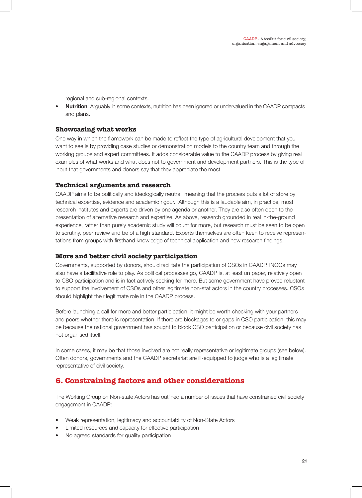regional and sub-regional contexts.

**• Nutrition**: Arguably in some contexts, nutrition has been ignored or undervalued in the CAADP compacts and plans.

## **Showcasing what works**

One way in which the framework can be made to reflect the type of agricultural development that you want to see is by providing case studies or demonstration models to the country team and through the working groups and expert committees. It adds considerable value to the CAADP process by giving real examples of what works and what does not to government and development partners. This is the type of input that governments and donors say that they appreciate the most.

## **Technical arguments and research**

CAADP aims to be politically and ideologically neutral, meaning that the process puts a lot of store by technical expertise, evidence and academic rigour. Although this is a laudable aim, in practice, most research institutes and experts are driven by one agenda or another. They are also often open to the presentation of alternative research and expertise. As above, research grounded in real in-the-ground experience, rather than purely academic study will count for more, but research must be seen to be open to scrutiny, peer review and be of a high standard. Experts themselves are often keen to receive representations from groups with firsthand knowledge of technical application and new research findings.

## **More and better civil society participation**

Governments, supported by donors, should facilitate the participation of CSOs in CAADP. INGOs may also have a facilitative role to play. As political processes go, CAADP is, at least on paper, relatively open to CSO participation and is in fact actively seeking for more. But some government have proved reluctant to support the involvement of CSOs and other legitimate non-stat actors in the country processes. CSOs should highlight their legitimate role in the CAADP process.

Before launching a call for more and better participation, it might be worth checking with your partners and peers whether there is representation. If there are blockages to or gaps in CSO participation, this may be because the national government has sought to block CSO participation or because civil society has not organised itself.

In some cases, it may be that those involved are not really representative or legitimate groups (see below). Often donors, governments and the CAADP secretariat are ill-equipped to judge who is a legitimate representative of civil society.

# **6. Constraining factors and other considerations**

The Working Group on Non-state Actors has outlined a number of issues that have constrained civil society engagement in CAADP:

- Weak representation, legitimacy and accountability of Non-State Actors
- Limited resources and capacity for effective participation
- No agreed standards for quality participation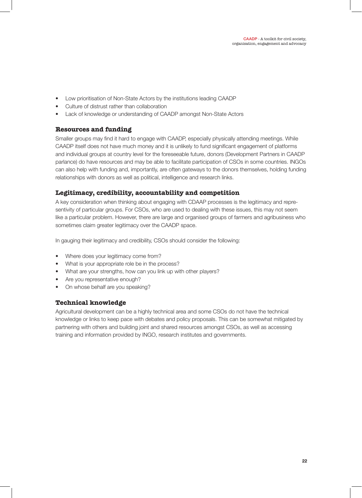- Low prioritisation of Non-State Actors by the institutions leading CAADP
- Culture of distrust rather than collaboration
- Lack of knowledge or understanding of CAADP amongst Non-State Actors

## **Resources and funding**

Smaller groups may find it hard to engage with CAADP, especially physically attending meetings. While CAADP itself does not have much money and it is unlikely to fund significant engagement of platforms and individual groups at country level for the foreseeable future, donors (Development Partners in CAADP parlance) do have resources and may be able to facilitate participation of CSOs in some countries. INGOs can also help with funding and, importantly, are often gateways to the donors themselves, holding funding relationships with donors as well as political, intelligence and research links.

## **Legitimacy, credibility, accountability and competition**

A key consideration when thinking about engaging with CDAAP processes is the legitimacy and representivity of particular groups. For CSOs, who are used to dealing with these issues, this may not seem like a particular problem. However, there are large and organised groups of farmers and agribusiness who sometimes claim greater legitimacy over the CAADP space.

In gauging their legitimacy and credibility, CSOs should consider the following:

- Where does your legitimacy come from?
- What is your appropriate role be in the process?
- What are your strengths, how can you link up with other players?
- Are you representative enough?
- On whose behalf are you speaking?

# **Technical knowledge**

Agricultural development can be a highly technical area and some CSOs do not have the technical knowledge or links to keep pace with debates and policy proposals. This can be somewhat mitigated by partnering with others and building joint and shared resources amongst CSOs, as well as accessing training and information provided by INGO, research institutes and governments.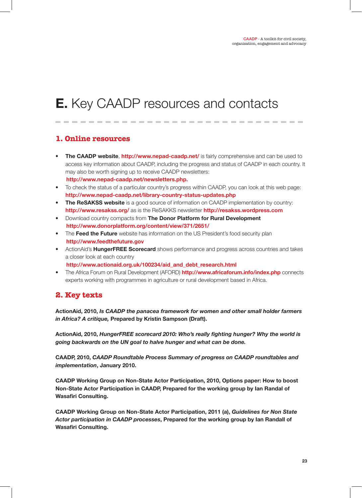# **E.** Key CAADP resources and contacts

# **1. Online resources**

- **• The CAADP website**, **http://www.nepad-caadp.net/** is fairly comprehensive and can be used to access key information about CAADP, including the progress and status of CAADP in each country. It may also be worth signing up to receive CAADP newsletters: **http://www.nepad-caadp.net/newsletters.php.**
- To check the status of a particular country's progress within CAADP, you can look at this web page: **http://www.nepad-caadp.net/library-country-status-updates.php**
- **• The ReSAKSS website** is a good source of information on CAADP implementation by country: **http://www.resakss.org/** as is the ReSAKKS newsletter **http://resakss.wordpress.com**
- Download country compacts from **The Donor Platform for Rural Development http://www.donorplatform.org/content/view/371/2651/**
- The **Feed the Future** website has information on the US President's food security plan **http://www.feedthefuture.gov**
- ActionAid's **HungerFREE Scorecard** shows performance and progress across countries and takes a closer look at each country
- **http://www.actionaid.org.uk/100234/aid\_and\_debt\_research.html** • The Africa Forum on Rural Development (AFORD) **http://www.africaforum.info/index.php** connects

#### experts working with programmes in agriculture or rural development based in Africa.

# **2. Key texts**

**ActionAid, 2010,** *Is CAADP the panacea framework for women and other small holder farmers in Africa? A critique,* **Prepared by Kristin Sampson (Draft).**

**ActionAid, 2010,** *HungerFREE scorecard 2010: Who's really fighting hunger? Why the world is going backwards on the UN goal to halve hunger and what can be done.*

**CAADP, 2010,** *CAADP Roundtable Process Summary of progress on CAADP roundtables and implementation***, January 2010.**

**CAADP Working Group on Non-State Actor Participation, 2010, Options paper: How to boost Non-State Actor Participation in CAADP, Prepared for the working group by Ian Randal of Wasafiri Consulting.**

**CAADP Working Group on Non-State Actor Participation, 2011 (a),** *Guidelines for Non State Actor participation in CAADP processes***, Prepared for the working group by Ian Randall of Wasafiri Consulting.**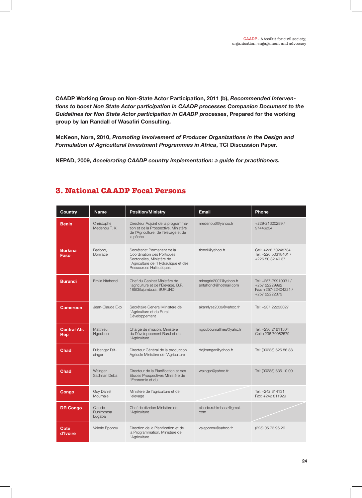**CAADP Working Group on Non-State Actor Participation, 2011 (b),** *Recommended Interventions to boost Non State Actor participation in CAADP processes Companion Document to the Guidelines for Non State Actor participation in CAADP processes***, Prepared for the working group by Ian Randall of Wasafiri Consulting.**

**McKeon, Nora, 2010,** *Promoting Involvement of Producer Organizations in the Design and Formulation of Agricultural Investment Programmes in Africa***, TCI Discussion Paper.**

**NEPAD, 2009,** *Accelerating CAADP country implementation: a guide for practitioners.*

| <b>Country</b>             | <b>Name</b>                   | <b>Position/Ministry</b>                                                                                                                                     | Email                                          | Phone                                                                          |
|----------------------------|-------------------------------|--------------------------------------------------------------------------------------------------------------------------------------------------------------|------------------------------------------------|--------------------------------------------------------------------------------|
| Benin                      | Christophe<br>Medenou T. K.   | Directeur Adjoint de la programma-<br>tion et de la Prospective, Ministère<br>de l'Agriculture, de l'élevage et de<br>la pêche                               | medenou6@yahoo.fr                              | +229-21300289/<br>97446234                                                     |
| <b>Burkina</b><br>Faso     | Bationo,<br><b>Boniface</b>   | Secrétariat Permanent de la<br>Coordination des Politiques<br>Sectorielles, Ministère de<br>l'Agriculture de l'Hydraulique et des<br>Ressources Halieutiques | tionoli@yahoo.fr                               | Cell: +226 70248734<br>Tel: +226 50318461 /<br>+226 50 32 40 37                |
| <b>Burundi</b>             | Emile Ntahondi                | Chef du Cabinet Ministère de<br>l'agriculture et de l'Élevage, B.P.<br>1850Bujumbura, BURUNDI                                                                | minagrie2007@yahoo.fr<br>entahondi@hotmail.com | Tel: +257-79910931 /<br>+257 22229992<br>Fax: +257-22404221 /<br>+257 22222873 |
| Cameroon                   | Jean-Claude Eko               | Secrétaire General Ministère de<br>l'Agriculture et du Rural<br>Développement                                                                                | akamlyse2006@yahoo.fr                          | Tel: +237 22233027                                                             |
| <b>Central Afr.</b><br>Rep | Matthieu<br>Ngoubou           | Chargé de mission, Ministère<br>du Développement Rural et de<br>l'Agriculture                                                                                | ngouboumathieu@yaho.fr                         | Tel: +236 21611504<br>Cell:+236 70982579                                       |
| <b>Chad</b>                | Djibangar Djit-<br>aingar     | Directeur Général de la production<br>Agricole Ministère de l'Agriculture                                                                                    | ddjibangar@yahoo.fr                            | Tel: (00235) 625 86 88                                                         |
| Chad                       | Walngar<br>Sadjinan Deba      | Directeur de la Planification et des<br>Etudes Prospectives Ministère de<br>l'Economie et du                                                                 | walngar@yahoo.fr                               | Tel: (00235) 636 10 00                                                         |
| Congo                      | <b>Guy Daniel</b><br>Moumale  | Ministere de l'agriculture et de<br>l'elevage                                                                                                                |                                                | Tel: +242 814131<br>Fax: +242 811929                                           |
| <b>DR Congo</b>            | Claude<br>Ruhimbasa<br>Lugaba | Chef de division Ministère de<br>l'Agriculture                                                                                                               | claude.ruhimbasa@gmail.<br>com                 |                                                                                |
| Cote<br>d'Ivoire           | Valerie Eponou                | Direction de la Planification et de<br>la Programmation, Ministère de<br>l'Agriculture                                                                       | valeponou@yahoo.fr                             | (225) 05.73.96.26                                                              |

# **3. National CAADP Focal Persons**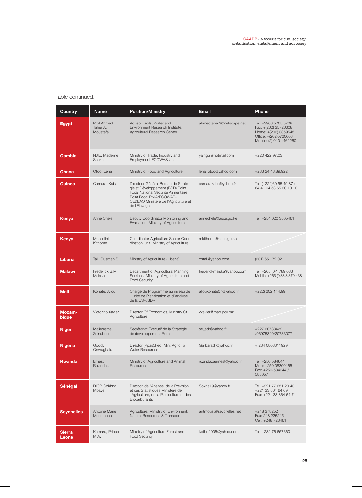# Table continued.

| Country                | <b>Name</b>                               | <b>Position/Ministry</b>                                                                                                                                                                           | <b>Email</b>              | Phone                                                                                                                    |
|------------------------|-------------------------------------------|----------------------------------------------------------------------------------------------------------------------------------------------------------------------------------------------------|---------------------------|--------------------------------------------------------------------------------------------------------------------------|
| <b>Egypt</b>           | <b>Prof Ahmed</b><br>Taher A.<br>Moustafa | Advisor, Soils, Water and<br>Environment Research Institute,<br>Agricultural Research Center.                                                                                                      | ahmedtaher3@netscape.net  | Tel: +3906 5705 5708<br>Fax: +(202) 35720608<br>Home: +(202) 3359545<br>Office: +(202)5720608<br>Mobile: (2) 010 1462260 |
| Gambia                 | NJIE, Madeline<br>Secka                   | Ministry of Trade, Industry and<br>Employment ECOWAS Unit                                                                                                                                          | yaingui@hotmail.com       | +220 422.97.03                                                                                                           |
| Ghana                  | Otoo, Lena                                | Ministry of Food and Agriculture                                                                                                                                                                   | lena_otoo@yahoo.com       | +233 24.43.89.922                                                                                                        |
| Guinea                 | Camara, Kaba                              | Directeur Général Bureau de Straté-<br>gie et Développement (BSD) Point<br>Focal National Sécurité Alimentaire<br>Point Focal PNIA/ECOWAP-<br>CEDEAO Ministère de l'Agriculture et<br>de l'Elevage | camarakaba@yahoo.fr       | Tel: (+224)60 55 49 87 /<br>64 41 04 53 65 30 10 10                                                                      |
| Kenya                  | Anne Chele                                | Deputy Coordinator Monitoring and<br>Evaluation, Ministry of Agriculture                                                                                                                           | annechele@ascu.go.ke      | Tel: +254 020 3505461                                                                                                    |
| Kenya                  | Mussolini<br>Kithome                      | Coordinator Agriculture Sector Coor-<br>dination Unit, Ministry of Agriculture                                                                                                                     | mkithome@ascu.go.ke       |                                                                                                                          |
| <b>Liberia</b>         | Tall, Ousman S                            | Ministry of Agriculture (Liberia)                                                                                                                                                                  | ostall@yahoo.com          | (231) 651.72.02                                                                                                          |
| <b>Malawi</b>          | Frederick B.M.<br><b>Msiska</b>           | Department of Agricultural Planning<br>Services, Ministry of Agriculture and<br><b>Food Security</b>                                                                                               | frederickmsiska@yahoo.com | Tel: +265 (0)1 789 033<br>Mobile: +265 (0)88 8 379 438                                                                   |
| <b>Mali</b>            | Konate, Aliou                             | Chargé de Programme au niveau de<br>l'Unité de Planification et d'Analyse<br>de la CSP/SDR                                                                                                         | alioukonate07@yahoo.fr    | +222) 202.144.99                                                                                                         |
| <b>Mozam-</b><br>bique | Victorino Xavier                          | Director Of Economics, Ministry Of<br>Agriculture                                                                                                                                                  | vxavier@map.gov.mz        |                                                                                                                          |
| <b>Niger</b>           | Maikorema<br>Zeinabou                     | Secrétariat Exécutif de la Stratégie<br>de développement Rural                                                                                                                                     | se_sdr@yahoo.fr           | +227 20733422<br>/96975340/20733077                                                                                      |
| <b>Nigeria</b>         | Goddy<br>Onwughalu                        | Director (Ppas), Fed. Min. Agric. &<br><b>Water Resources</b>                                                                                                                                      | Garbaradji@yahoo.fr       | +234 0803311929                                                                                                          |
| <b>Rwanda</b>          | Ernest<br>Ruzindaza                       | Ministry of Agriculture and Animal<br>Resources                                                                                                                                                    | ruzindazaernest@yahoo.fr  | Tel: +250 584644<br>Mob: +250 08300165<br>Fax: +250-584644 /<br>585057                                                   |
| Sénégal                | DIOP, Sokhna<br>Mbaye                     | Direction de l'Analyse, de la Prévision<br>et des Statistiques Ministére de<br>l'Agriculture, de la Pisciculture et des<br><b>Biocarburants</b>                                                    | Soxna19@yahoo.fr          | Tel: +221 77 651 20 43<br>+221 33 864 64 69<br>Fax: +221 33 864 64 71                                                    |
| <b>Seychelles</b>      | Antoine Marie<br>Moustache                | Agriculture, Ministry of Environnent,<br>Natural Resources & Transport                                                                                                                             | antmoust@seychelles.net   | +248 378252<br>Fax: 248 225245<br>Cell: +248 723461                                                                      |
| <b>Sierra</b><br>Leone | Kamara, Prince<br>M.A.                    | Ministry of Agriculture Forest and<br><b>Food Security</b>                                                                                                                                         | kotho2005@yahoo.com       | Tel: +232 76 657660                                                                                                      |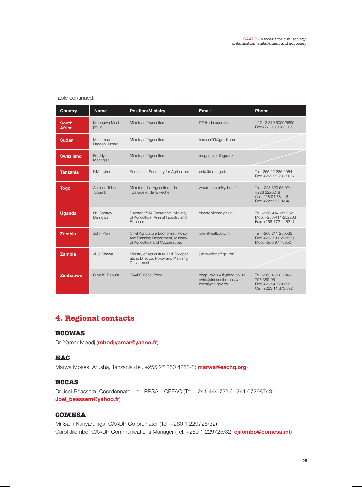#### Table continued.

| Country                       | <b>Name</b>                | <b>Position/Ministry</b>                                                                                    | <b>Email</b>                                                          | Phone                                                                               |
|-------------------------------|----------------------------|-------------------------------------------------------------------------------------------------------------|-----------------------------------------------------------------------|-------------------------------------------------------------------------------------|
| <b>South</b><br><b>Africa</b> | Mbongwa Masi-<br>phula     | Ministry of Agriculture                                                                                     | DG@nda.agric.za                                                       | +27 12 319 6000/6690<br>Fax: +27 12 319 71 35                                       |
| <b>Sudan</b>                  | Mohamed<br>Hassan Jubara,  | Ministry of Agriculture                                                                                     | hassuni99@gmail.com                                                   |                                                                                     |
| <b>Swaziland</b>              | Freddy<br>Magagula         | Ministry of Agriculture                                                                                     | magagulafrd@gov.sz                                                    |                                                                                     |
| <b>Tanzania</b>               | P.M. Lyimo                 | Permanent Secretary for Agriculture                                                                         | psk@kilimo.go.tz                                                      | Tel:+255 22 286 2064<br>Fax: +255 22 286 2077                                       |
| <b>Togo</b>                   | Aurelien Tchemi<br>Tchambi | Ministère de l'Agriculture, de<br>l'Elevage et de la Pêche                                                  | wourotchemi@yahoo.fr                                                  | Tel: +228 320 58 02 /<br>+228 2220248<br>Cell: 228 94 78 118<br>Fax: +228 222 02 48 |
| <b>Uganda</b>                 | Dr. Godfrey<br>Bahiiqwa    | Director, PMA Secretariat, Ministry<br>of Agriculture, Animal Industry and<br><b>Fisheries</b>              | director@pma.go.ug                                                    | Tel: +256-414-252262<br>Mob: +256-414-252263<br>Fax: +256-772-446211                |
| <b>Zambia</b>                 | John Phiri                 | Chief Agriculture Economist, Policy<br>and Planning Department, Ministry<br>of Agriculture and Cooperatives | jphiri@maff.gov.zm                                                    | Tel: +260 211 250532<br>Fax: +260 211 253520<br>Mob: +260 977 8950                  |
| <b>Zambia</b>                 | Jlius Shawa                | Ministry of Agriculture and Co-oper-<br>atives Director, Policy and Planning<br>Department                  | jjshawa@maff.gov.zm                                                   |                                                                                     |
| <b>Zimbabwe</b>               | Clive K. Bepura            | <b>CAADP</b> Focal Point                                                                                    | cbepura2004@yahoo.co.uk<br>dyts@africaonline.co.zw<br>zpqs@gta.gov.zw | Tel: +263 4 708 794 /<br>797 389-95<br>Fax: +263 4 729 225<br>Cell: +263 11 873 892 |

# **4. Regional contacts**

### **ECOWAS**

Dr. Yamar Mbodj (**mbodjyamar@yahoo.fr**)

#### **EAC**

Marwa Moses; Arusha, Tanzania (Tel. +255 27 250 4253/8; **marwa@eachq.org**)

#### **ECCAS**

Dr Joel Béassem, Coordonnateur du PRSA – CEEAC (Tel: +241 444 732 / +241 07298743; **Joel\_beassem@yahoo.fr**)

## **COMESA**

Mr Sam Kanyarukiga, CAADP Co-ordinator (Tel. +260 1 229725/32) Carol Jilombo, CAADP Communications Manager (Tel. +260 1 229725/32; **cjilombo@comesa.int**)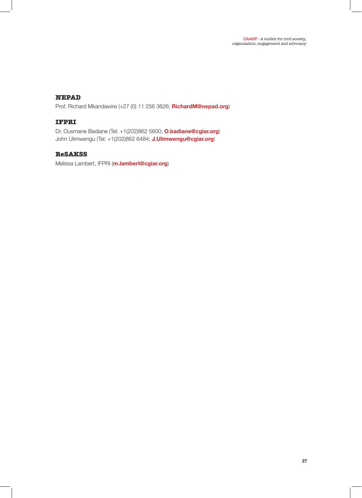# **NEPAD**

Prof. Richard Mkandawire (+27 (0) 11 256 3626; **RichardM@nepad.org**)

# **IFPRI**

Dr. Ousmane Badiane (Tel: +1(202)862 5600; **O.badiane@cgiar.org**) John Ulimwengu (Tel: +1(202)862 6484; **J.Ulimwengu@cgiar.org**)

## **ReSAKSS**

Melissa Lambert, IFPRI (**m.lambert@cgiar.org**)